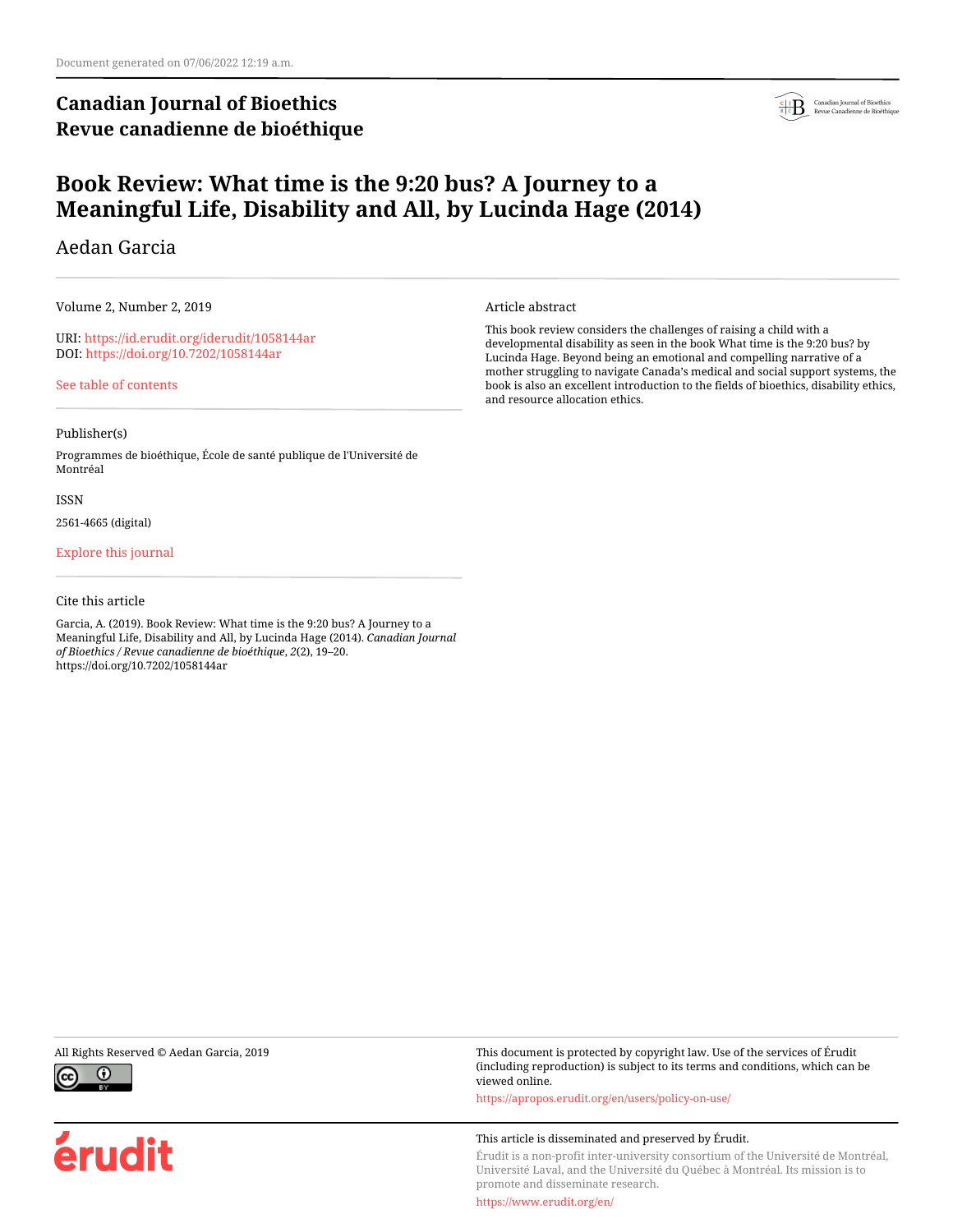# **Canadian Journal of Bioethics Revue canadienne de bioéthique**



# **Book Review: What time is the 9:20 bus? A Journey to a Meaningful Life, Disability and All, by Lucinda Hage (2014)**

## Aedan Garcia

Volume 2, Number 2, 2019

URI:<https://id.erudit.org/iderudit/1058144ar> DOI:<https://doi.org/10.7202/1058144ar>

[See table of contents](https://www.erudit.org/en/journals/bioethics/2019-v2-n2-bioethics04449/)

## Publisher(s)

Programmes de bioéthique, École de santé publique de l'Université de Montréal

### ISSN

2561-4665 (digital)

## [Explore this journal](https://www.erudit.org/en/journals/bioethics/)

## Cite this article

Garcia, A. (2019). Book Review: What time is the 9:20 bus? A Journey to a Meaningful Life, Disability and All, by Lucinda Hage (2014). *Canadian Journal of Bioethics / Revue canadienne de bioéthique*, *2*(2), 19–20. https://doi.org/10.7202/1058144ar

Article abstract

This book review considers the challenges of raising a child with a developmental disability as seen in the book What time is the 9:20 bus? by Lucinda Hage. Beyond being an emotional and compelling narrative of a mother struggling to navigate Canada's medical and social support systems, the book is also an excellent introduction to the fields of bioethics, disability ethics, and resource allocation ethics.



érudit

All Rights Reserved © Aedan Garcia, 2019 This document is protected by copyright law. Use of the services of Érudit (including reproduction) is subject to its terms and conditions, which can be viewed online.

<https://apropos.erudit.org/en/users/policy-on-use/>

### This article is disseminated and preserved by Érudit.

Érudit is a non-profit inter-university consortium of the Université de Montréal, Université Laval, and the Université du Québec à Montréal. Its mission is to promote and disseminate research.

<https://www.erudit.org/en/>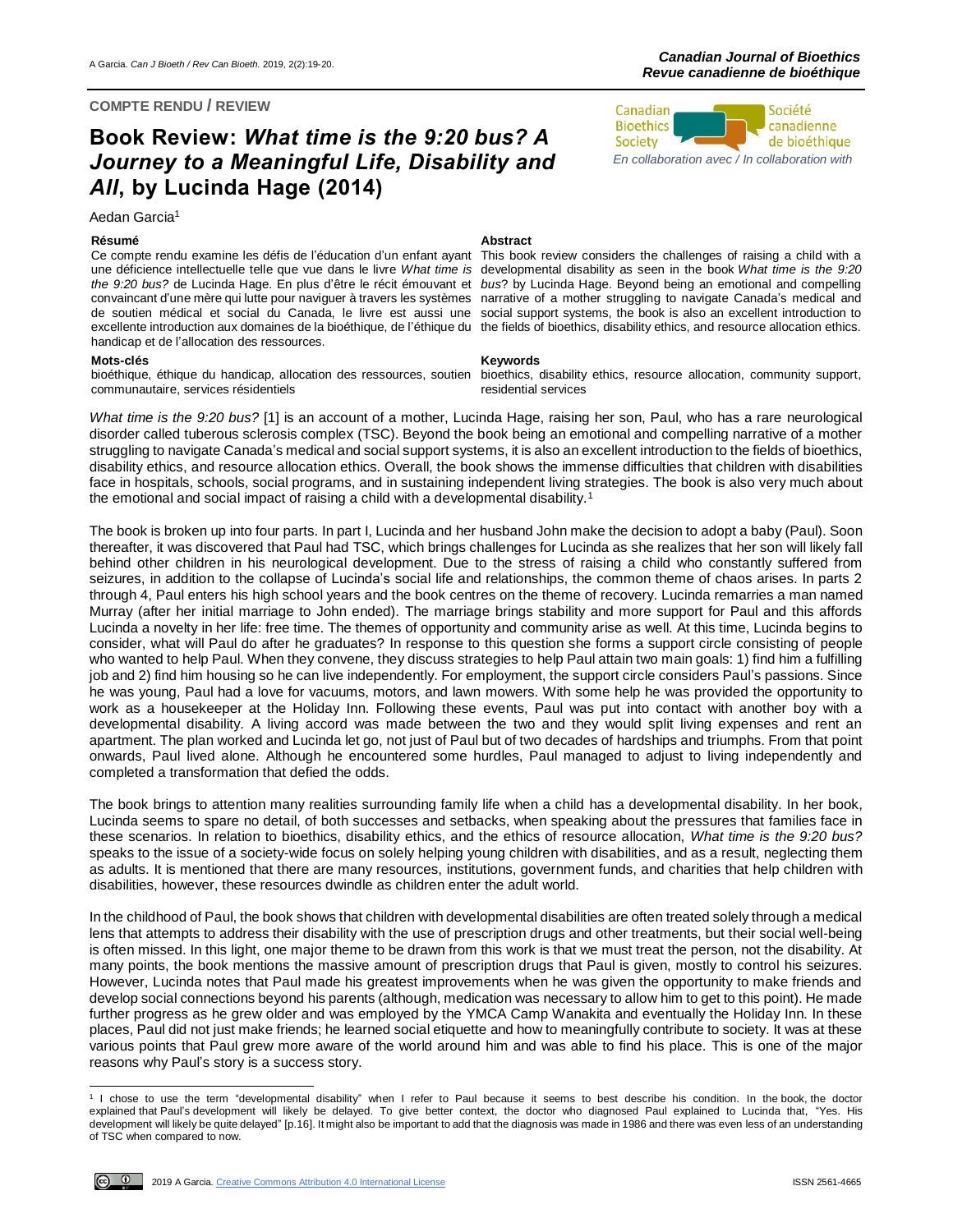## **COMPTE RENDU / REVIEW**

# **Book Review:** *What time is the 9:20 bus? A Journey to a Meaningful Life, Disability and All***, by Lucinda Hage (2014)**

Aedan Garcia<sup>1</sup>

Ce compte rendu examine les défis de l'éducation d'un enfant ayant une déficience intellectuelle telle que vue dans le livre *What time is*  the 9:20 bus? de Lucinda Hage. En plus d'être le récit émouvant et bus? by Lucinda Hage. Beyond being an emotional and compelling convaincant d'une mère qui lutte pour naviguer à travers les systèmes narrative of a mother struggling to navigate Canada's medical and de soutien médical et social du Canada, le livre est aussi une excellente introduction aux domaines de la bioéthique, de l'éthique du the fields of bioethics, disability ethics, and resource allocation ethics. handicap et de l'allocation des ressources.

## **Mots-clés Keywords**

bioéthique, éthique du handicap, allocation des ressources, soutien communautaire, services résidentiels

## **Résumé Abstract**

This book review considers the challenges of raising a child with a developmental disability as seen in the book *What time is the 9:20*  social support systems, the book is also an excellent introduction to

bioethics, disability ethics, resource allocation, community support, residential services



*What time is the 9:20 bus?* [1] is an account of a mother, Lucinda Hage, raising her son, Paul, who has a rare neurological disorder called tuberous sclerosis complex (TSC). Beyond the book being an emotional and compelling narrative of a mother struggling to navigate Canada's medical and social support systems, it is also an excellent introduction to the fields of bioethics, disability ethics, and resource allocation ethics. Overall, the book shows the immense difficulties that children with disabilities face in hospitals, schools, social programs, and in sustaining independent living strategies. The book is also very much about the emotional and social impact of raising a child with a developmental disability.<sup>1</sup>

The book is broken up into four parts. In part I, Lucinda and her husband John make the decision to adopt a baby (Paul). Soon thereafter, it was discovered that Paul had TSC, which brings challenges for Lucinda as she realizes that her son will likely fall behind other children in his neurological development. Due to the stress of raising a child who constantly suffered from seizures, in addition to the collapse of Lucinda's social life and relationships, the common theme of chaos arises. In parts 2 through 4, Paul enters his high school years and the book centres on the theme of recovery. Lucinda remarries a man named Murray (after her initial marriage to John ended). The marriage brings stability and more support for Paul and this affords Lucinda a novelty in her life: free time. The themes of opportunity and community arise as well. At this time, Lucinda begins to consider, what will Paul do after he graduates? In response to this question she forms a support circle consisting of people who wanted to help Paul. When they convene, they discuss strategies to help Paul attain two main goals: 1) find him a fulfilling job and 2) find him housing so he can live independently. For employment, the support circle considers Paul's passions. Since he was young, Paul had a love for vacuums, motors, and lawn mowers. With some help he was provided the opportunity to work as a housekeeper at the Holiday Inn. Following these events, Paul was put into contact with another boy with a developmental disability. A living accord was made between the two and they would split living expenses and rent an apartment. The plan worked and Lucinda let go, not just of Paul but of two decades of hardships and triumphs. From that point onwards, Paul lived alone. Although he encountered some hurdles, Paul managed to adjust to living independently and completed a transformation that defied the odds.

The book brings to attention many realities surrounding family life when a child has a developmental disability. In her book, Lucinda seems to spare no detail, of both successes and setbacks, when speaking about the pressures that families face in these scenarios. In relation to bioethics, disability ethics, and the ethics of resource allocation, *What time is the 9:20 bus?* speaks to the issue of a society-wide focus on solely helping young children with disabilities, and as a result, neglecting them as adults. It is mentioned that there are many resources, institutions, government funds, and charities that help children with disabilities, however, these resources dwindle as children enter the adult world.

In the childhood of Paul, the book shows that children with developmental disabilities are often treated solely through a medical lens that attempts to address their disability with the use of prescription drugs and other treatments, but their social well-being is often missed. In this light, one major theme to be drawn from this work is that we must treat the person, not the disability. At many points, the book mentions the massive amount of prescription drugs that Paul is given, mostly to control his seizures. However, Lucinda notes that Paul made his greatest improvements when he was given the opportunity to make friends and develop social connections beyond his parents (although, medication was necessary to allow him to get to this point). He made further progress as he grew older and was employed by the YMCA Camp Wanakita and eventually the Holiday Inn. In these places, Paul did not just make friends; he learned social etiquette and how to meaningfully contribute to society. It was at these various points that Paul grew more aware of the world around him and was able to find his place. This is one of the major reasons why Paul's story is a success story.

 1 I chose to use the term "developmental disability" when I refer to Paul because it seems to best describe his condition. In the book, the doctor explained that Paul's development will likely be delayed. To give better context, the doctor who diagnosed Paul explained to Lucinda that, "Yes. His development will likely be quite delayed" [p.16]. It might also be important to add that the diagnosis was made in 1986 and there was even less of an understanding of TSC when compared to now.